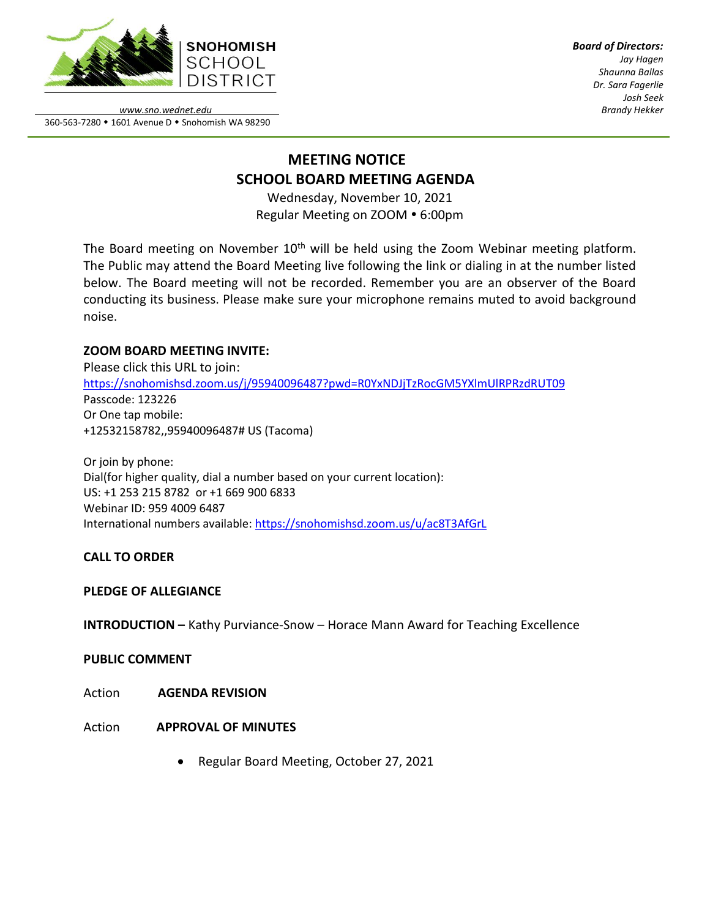

*Board of Directors: Jay Hagen Shaunna Ballas Dr. Sara Fagerlie Josh Seek Brandy Hekker*

*www.sno.wednet.edu* 360-563-7280 • 1601 Avenue D • Snohomish WA 98290

# **MEETING NOTICE SCHOOL BOARD MEETING AGENDA**

Wednesday, November 10, 2021 Regular Meeting on ZOOM . 6:00pm

The Board meeting on November  $10<sup>th</sup>$  will be held using the Zoom Webinar meeting platform. The Public may attend the Board Meeting live following the link or dialing in at the number listed below. The Board meeting will not be recorded. Remember you are an observer of the Board conducting its business. Please make sure your microphone remains muted to avoid background noise.

# **ZOOM BOARD MEETING INVITE:**

Please click this URL to join: <https://snohomishsd.zoom.us/j/95940096487?pwd=R0YxNDJjTzRocGM5YXlmUlRPRzdRUT09> Passcode: 123226 Or One tap mobile: +12532158782,,95940096487# US (Tacoma)

Or join by phone: Dial(for higher quality, dial a number based on your current location): US: +1 253 215 8782 or +1 669 900 6833 Webinar ID: 959 4009 6487 International numbers available:<https://snohomishsd.zoom.us/u/ac8T3AfGrL>

# **CALL TO ORDER**

### **PLEDGE OF ALLEGIANCE**

**INTRODUCTION –** Kathy Purviance-Snow – Horace Mann Award for Teaching Excellence

### **PUBLIC COMMENT**

Action **AGENDA REVISION**

# Action **APPROVAL OF MINUTES**

• Regular Board Meeting, October 27, 2021